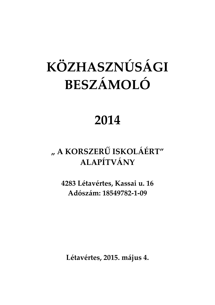# **KÖZHASZNÚSÁGI BESZÁMOLÓ**

### **2014**

### **" A KORSZERŰ ISKOLÁÉRT" ALAPÍTVÁNY**

**4283 Létavértes, Kassai u. 16 Adószám: 18549782-1-09** 

**Létavértes, 2015. május 4.**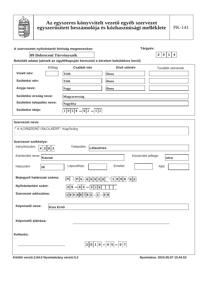

| A szervezetet nyilvántartó bíróság megnevezése:                               |                                | Tárgyév:              |                                |
|-------------------------------------------------------------------------------|--------------------------------|-----------------------|--------------------------------|
| 09 Debreceni Törvényszék                                                      |                                |                       | 2 0 1 4                        |
| Beküldő adatai (akinek az ügyfélkapuján keresztül a kérelem beküldésre kerül) |                                |                       |                                |
| Előtag                                                                        | Családi név                    | Első utónév           | További utónevek               |
| Viselt név:                                                                   | <b>Tóth</b>                    | Ilona                 |                                |
| Születési név:                                                                | Tóth                           | <b>Ilona</b>          |                                |
| Anyja neve:                                                                   | <b>Nagy</b>                    | <b>Ilona</b>          |                                |
| Születési ország neve:                                                        | <b>Magyarország</b>            |                       |                                |
| Születési település neve:                                                     | Nagyléta                       |                       |                                |
| Születési ideje:                                                              | 1 9 5 0<br> 0 2 <br>1 2        |                       |                                |
| <b>Szervezet neve:</b>                                                        |                                |                       |                                |
| " A KORSZERŰ ISKOLÁÉRT" Alapítvány                                            |                                |                       |                                |
| Szervezet székhelye:<br>Irányítószám:<br>4 2 8 3                              | Település:<br>Létavértes       |                       |                                |
| Közterület neve: Kassai                                                       |                                | Közterület jellege:   | utca                           |
| Házszám:<br>16                                                                | Lépcsőház:                     | Emelet:               | Ajtó:                          |
| Bejegyző határozat száma:                                                     | A  <br>$ P k \cdot 6 0 9 3 8 $ | 1/1996/02             |                                |
| Nyilvántartási szám:                                                          | 0 3 <br>0 9 <br>9 3 8          |                       |                                |
| Szervezet adószáma:                                                           | $18549782 - 1 - 09$            |                       |                                |
| Képviselő neve:<br><b>Kiss Ernő</b>                                           |                                |                       |                                |
| Képviselő aláírása:                                                           |                                |                       |                                |
| Keltezés:                                                                     |                                |                       |                                |
|                                                                               |                                | $2 0 1 5 - 0 5 - 0 7$ |                                |
| Kitöltő verzió:2.64.0 Nyomtatvány verzió:5.2                                  |                                |                       | Nyomtatva: 2015.05.07 10.44.53 |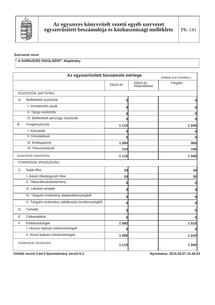

#### Szervezet neve:

#### " A KORSZERŰ ISKOLÁÉRT" Alapítvány

|         | Az egyszerűsített beszámoló mérlege              |          |                          | (Adatok ezer forintban.) |
|---------|--------------------------------------------------|----------|--------------------------|--------------------------|
|         |                                                  | Előző év | Előző év<br>helyesbítése | Tárgyév                  |
|         | ESZKÖZÖK (AKTÍVÁK)                               |          |                          |                          |
| Α.      | Befektetett eszközök                             | 0        |                          | 0                        |
|         | I. Immateriális javak                            | $\bf{0}$ |                          | 0                        |
|         | II. Tárgyi eszközök                              | $\bf{0}$ |                          | $\bf{0}$                 |
|         | III. Befektetett pénzügyi eszközök               | 0        |                          | 0                        |
| В.      | Forgóeszközök                                    | 1 1 1 0  |                          | 1 0 4 0                  |
|         | I. Készletek                                     | 0        |                          | 0                        |
|         | II. Követelések                                  | $\bf{0}$ |                          | $\bf{0}$                 |
|         | III. Értékpapírok                                | 1 000    |                          | 900                      |
|         | IV. Pénzeszközök                                 | 110      |                          | 140                      |
|         | ESZKÖZÖK ÖSSZESEN                                | 1 1 1 0  |                          | 1 0 4 0                  |
|         | FORRÁSOK (PASSZÍVÁK)                             |          |                          |                          |
| $C_{1}$ | Saját tőke                                       | 30       |                          | 30                       |
|         | I. Induló tőke/jegyzett tőke                     | 30       |                          | 30                       |
|         | II. Tőkeváltozás/eredmény                        | $\bf{0}$ |                          | $\bf{0}$                 |
|         | III. Lekötött tartalék                           | 0        |                          | $\bf{0}$                 |
|         | IV. Tárgyévi eredmény alaptevékenységből         | $\bf{0}$ |                          | $\bf{0}$                 |
|         | V. Tárgyévi erdemény vállalkozási tevékenységből | 0        |                          | 0                        |
| D.      | <b>Tartalék</b>                                  | 0        |                          | $\bf{0}$                 |
| Ε.      | Céltartalékok                                    | $\bf{0}$ |                          | $\Omega$                 |
| F.      | Kötelezettségek                                  | 1 0 8 0  |                          | 1010                     |
|         | I. Hosszú lejáratú kötelezettségek               | 0        |                          | 0                        |
|         | II. Rövid lejáratú kötelezettségek               | 1 0 8 0  |                          | 1010                     |
|         | FORRÁSOK ÖSSZESEN                                | 1 1 1 0  |                          | 1 0 4 0                  |

Kitöltő verzió: 2.64.0 Nyomtatvány verzió: 5.2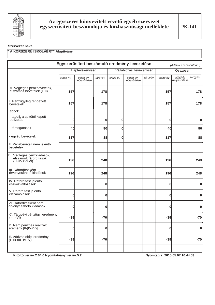

#### Szervezet neve:

#### " A KORSZERŰ ISKOLÁÉRT" Alapítvány

|                                                                        |              |                          |                                      |          | Egyszerűsített beszámoló eredmény-levezetése |         |          | (Adatok ezer forintban.) |              |
|------------------------------------------------------------------------|--------------|--------------------------|--------------------------------------|----------|----------------------------------------------|---------|----------|--------------------------|--------------|
|                                                                        |              | Alaptevékenység          | Vállalkozási tevékenység<br>Összesen |          |                                              |         |          |                          |              |
|                                                                        | előző év     | előző év<br>helyesbítése | tárgyév                              | előző év | előző év<br>helyesbítése                     | tárgyév | előző év | előző év<br>helyesbítése | tárgyév      |
| A. Végleges pénzbevételek,<br>elszámolt bevételek (I+II)               | 157          |                          | 178                                  |          |                                              |         | 157      |                          | 178          |
| I. Pénzügyileg rendezett<br>bevételek                                  | 157          |                          | 178                                  |          |                                              |         | 157      |                          | 178          |
| ebből:                                                                 |              |                          |                                      |          |                                              |         |          |                          |              |
| - tagdíj, alapítótól kapott<br>befizetés                               | $\mathbf{0}$ |                          | 0                                    | 0        |                                              |         | 0        |                          | 0            |
| - támogatások                                                          | 40           |                          | 90                                   | 0        |                                              |         | 40       |                          | 90           |
| - egyéb bevételek                                                      | 117          |                          | 88                                   | 0        |                                              |         | 117      |                          | 88           |
| II. Pénzbevételt nem jelentő<br>bevételek                              |              |                          |                                      |          |                                              |         |          |                          |              |
| B. Végleges pénzkiadások,<br>elszámolt ráfordítások<br>$(III+IV+V+VI)$ | 196          |                          | 248                                  |          |                                              |         | 196      |                          | 248          |
| III. Ráfordításként<br>érvényesíthető kiadások                         | 196          |                          | 248                                  |          |                                              |         | 196      |                          | 248          |
| IV. Ráfordítást jelentő<br>eszközváltozások                            | $\mathbf{0}$ |                          | 0                                    |          |                                              |         | 0        |                          | $\mathbf{0}$ |
| V. Ráfordítást jelentő<br>elszámolások                                 | $\mathbf{0}$ |                          | $\mathbf 0$                          |          |                                              |         | 0        |                          | $\mathbf{0}$ |
| VI. Ráfordításként nem<br>érvényesíthető kiadások                      | $\mathbf 0$  |                          | 0                                    |          |                                              |         | 0        |                          | 0            |
| C. Tárgyévi pénzügyi eredmény<br>$(I-III-VI)$                          | $-39$        |                          | $-70$                                |          |                                              |         | $-39$    |                          | $-70$        |
| D. Nem pénzbeli realizált<br>eremény [II-(IV+V)]                       | 0            |                          | 0                                    |          |                                              |         | 0        |                          | $\mathbf{0}$ |
| E. Adózás előtti eredmény<br>$(I+II)-(III+IV+V)$                       | $-39$        |                          | $-70$                                |          |                                              |         | $-39$    |                          | $-70$        |
|                                                                        |              |                          |                                      |          |                                              |         |          |                          |              |

Kitöltő verzió: 2.64.0 Nyomtatvány verzió: 5.2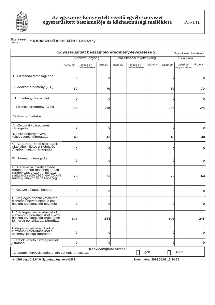

#### **Szervezet** neve:

#### " A KORSZERŰ ISKOLÁÉRT" Alapítvány

|                                                                                                                                                                    |          |                          |              |                        | Egyszerűsített beszámoló eredmény-levezetése 2. |         |             | (Adatok ezer forintban.) |              |
|--------------------------------------------------------------------------------------------------------------------------------------------------------------------|----------|--------------------------|--------------|------------------------|-------------------------------------------------|---------|-------------|--------------------------|--------------|
|                                                                                                                                                                    |          | Alaptevékenység          |              |                        | Vállalkozási tevékenység                        |         |             | Összesen                 |              |
|                                                                                                                                                                    | előző év | előző év<br>helyesbítése | tárgyév      | előző év               | előző év<br>helyesbítése                        | tárgyév | előző év    | előző év<br>helyesbítése | tárgyév      |
| F. Fizetendő társasági adó                                                                                                                                         | 0        |                          | 0            |                        |                                                 |         | 0           |                          | O            |
| G. Adózott eredmény (E-F)                                                                                                                                          | -39      |                          | $-70$        |                        |                                                 |         | $-39$       |                          | -70          |
| H. Jóváhagyott osztalék                                                                                                                                            | 0        |                          | 0            |                        |                                                 |         | $\mathbf 0$ |                          | $\bf{0}$     |
| I. Tárgyévi eredmény (G-H)                                                                                                                                         | $-39$    |                          | $-70$        |                        |                                                 |         | $-39$       |                          | -70          |
| Tájékoztató adatok                                                                                                                                                 |          |                          |              |                        |                                                 |         |             |                          |              |
| A. Központi költségvetési<br>támogatás                                                                                                                             | $\Omega$ |                          | $\Omega$     |                        |                                                 |         | $\bf{0}$    |                          | O            |
| B. Helyi önkormányzati<br>költségvetési támogatás                                                                                                                  | 40       |                          | 40           |                        |                                                 |         | 40          |                          | 40           |
| C. Az Európai Unió strukturális<br>alapjaiból, illetve a Kohéziós<br>Alapból nyújtott támogatás                                                                    |          |                          | n            |                        |                                                 |         | 0           |                          | $\bf{0}$     |
| D. Normatív támogatás                                                                                                                                              | Ω        |                          | 0            |                        |                                                 |         | $\mathbf 0$ |                          | O            |
| E. A személyi jövedelamadó<br>meghatározott részének adózó<br>rendelkezése szerinti felhasz-<br>nálásáról szóló 1996. évi CXXVI.<br>törvény alapján kiutalt összeg | 73       |                          | 63           |                        |                                                 |         | 73          |                          | 63           |
| F. Közszolgáltatási bevétel                                                                                                                                        | 0        |                          | O            |                        |                                                 |         | 0           |                          | $\mathbf{0}$ |
| G. Végleges pénzbevételekből,<br>elszámolt bevételekből a köz-<br>hasznú tevékenység bevétele                                                                      |          |                          |              |                        |                                                 |         | በ           |                          | 0            |
| H. Végleges pénzkiadásokból,<br>elszámolt ráfordításokból a köz-<br>hasznú tevékenység érdekében<br>felmerült pénzkiadás, ráfordítás                               | 196      |                          | 248          |                        |                                                 |         | 196         |                          | 248          |
| I. Végleges pénzkiadásokból,<br>elszámolt ráfordításokból a<br>személyi jellegű ráfordítás                                                                         | 0        |                          | 0            |                        |                                                 |         | $\bf{0}$    |                          | $\mathbf{0}$ |
| - ebből: vezető tisztségviselők<br>juttatásai                                                                                                                      | O        |                          | <sub>0</sub> |                        |                                                 |         | 0           |                          | $\mathbf{0}$ |
| Az adatok könyvvizsgálattal alá vannak támasztva.                                                                                                                  |          |                          |              | Könyvvizsgálói záradék |                                                 | Igen    |             | <b>Nem</b>               |              |
|                                                                                                                                                                    |          |                          |              |                        |                                                 |         |             |                          |              |

Kitöltő verzió: 2.64.0 Nyomtatvány verzió: 5.2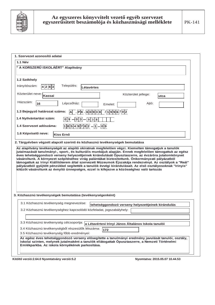

| <b>1.1 Név</b>                |                                                                                                                                                                                                                                                                                                                                                                                                                                                                                                                                                                                                                                           |
|-------------------------------|-------------------------------------------------------------------------------------------------------------------------------------------------------------------------------------------------------------------------------------------------------------------------------------------------------------------------------------------------------------------------------------------------------------------------------------------------------------------------------------------------------------------------------------------------------------------------------------------------------------------------------------------|
|                               | " A KORSZERŰ ISKOLÁÉRT" Alapítvány                                                                                                                                                                                                                                                                                                                                                                                                                                                                                                                                                                                                        |
| 1.2 Székhely                  |                                                                                                                                                                                                                                                                                                                                                                                                                                                                                                                                                                                                                                           |
| Irányítószám:                 | Település:<br> 4 2 8 3 <br>Létavértes                                                                                                                                                                                                                                                                                                                                                                                                                                                                                                                                                                                                     |
| Közterület neve:              | Közterület jellege:<br>Kassai<br>utca                                                                                                                                                                                                                                                                                                                                                                                                                                                                                                                                                                                                     |
| Házszám:<br>16                | Lépcsőház:<br>Ajtó:<br>Emelet:                                                                                                                                                                                                                                                                                                                                                                                                                                                                                                                                                                                                            |
| 1.3 Bejegyző határozat száma: | $PIK \cdot 60938 \mid 1996 \mid 02$<br>Al                                                                                                                                                                                                                                                                                                                                                                                                                                                                                                                                                                                                 |
| 1.4 Nyilvántartási szám:      | $-93-938$<br>0 9                                                                                                                                                                                                                                                                                                                                                                                                                                                                                                                                                                                                                          |
| 1.4 Szervezet adószáma:       | $18549782 - 1 - 09$                                                                                                                                                                                                                                                                                                                                                                                                                                                                                                                                                                                                                       |
|                               |                                                                                                                                                                                                                                                                                                                                                                                                                                                                                                                                                                                                                                           |
|                               | <b>Kiss Ernő</b><br>2. Tárgyévben végzett alapcél szerinti és közhasznú tevékenységek bemutatása<br>Az alapítvány tevékenységét az alapító okiratnak megfelelően végzi. Kiemelten támogatjuk a tanulók<br>jutalmazását tanulmányi-, sport-, és kulturális munkájuk alapján. Ennek megfelelően támogattuk az egész<br>éves tehetséggondozó verseny helyezettjeinek kirándulását Ópusztaszerre, az évzáróra jutalomkönyvet<br>vásároltunk. A környezet szépítéséhez virág palántákat biztosítottunk. Önkormányzati pályázatból<br>támogattuk az Irinyi Kiállítóterem által szervezett Múzeumok Éjszakája rendezvényt. Az osztályok a "Reál" |
| 1.6 Képviselő neve:           | pályázatból gyűjtött pénzükkel segítették a tanulók évvégi kirándulásait. Az első osztályosoknak "Irinyis"<br>kitűzőt vásároltunk az évnyító ünnepségre, ezzel is kifejezve a közösséghez való tartozás                                                                                                                                                                                                                                                                                                                                                                                                                                   |
|                               | 3. Közhasznú tevékenységek bemutatása (tevékenységenként)                                                                                                                                                                                                                                                                                                                                                                                                                                                                                                                                                                                 |
|                               | 3.1 Közhasznú tevékenység megnevezése:<br>tehetséggondozó verseny helyezettjeinek kirándulás                                                                                                                                                                                                                                                                                                                                                                                                                                                                                                                                              |
|                               | 3.2 Közhasznú tevékenységhez kapcsolódó közfeladat, jogszabályhely:                                                                                                                                                                                                                                                                                                                                                                                                                                                                                                                                                                       |
|                               |                                                                                                                                                                                                                                                                                                                                                                                                                                                                                                                                                                                                                                           |
|                               | 3.3 Közhasznú tevékenység célcsoportja:<br>a Létavértesi Irinyi János Általános Iskola tanulói<br>3.4 Közhasznú tevékenységből részesülők létszáma:<br>172                                                                                                                                                                                                                                                                                                                                                                                                                                                                                |

**.LW|OWėYHU]Ly1\RPWDWYiQ\YHU]Ly 1\RPWDWYD**

ΙL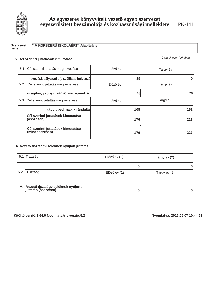

PK-141

### Szervezet<br>neve:

#### " A KORSZERŰ ISKOLÁÉRT" Alapítvány

|     | 5. Cél szerinti jutattások kimutatása                |            | (Adatok ezer forintban.) |
|-----|------------------------------------------------------|------------|--------------------------|
| 5.1 | Cél szerinti juttatás megnevezése                    | Előző év   | Tárgy év                 |
|     | nevezési, pályázati díj, szállítás, bélyegző         | 25         |                          |
| 5.2 | Cél szerinti juttatás megnevezése                    | Előző év   | Tárgy év                 |
|     | virágítás, j.könyv, kitűző, múzeumok éj.             | 43         | 76                       |
| 5.3 | Cél szerinti jutattás megnevezése                    | Előző év   | Tárgy év                 |
|     | tábor, ped. nap, kirándulás                          | 108        | 151                      |
|     | Cél szerinti juttatások kimutatása<br>(összesen)     | <b>176</b> | 227                      |
|     | Cél szerinti juttatások kimutatása<br>(mindösszesen) | <b>176</b> | 227                      |

#### 6. Vezető tisztségviselőknek nyújtott juttatás

|     | 6.1 Tisztség                                                 | Előző év (1) | Tárgy év (2) |
|-----|--------------------------------------------------------------|--------------|--------------|
|     |                                                              |              |              |
| 6.2 | Tisztség                                                     | Előző év (1) | Tárgy év (2) |
|     | A. Vezető tisztségviselőknek nyújtott<br>juttatás (összesen) |              |              |

Kitöltő verzió: 2.64.0 Nyomtatvány verzió: 5.2